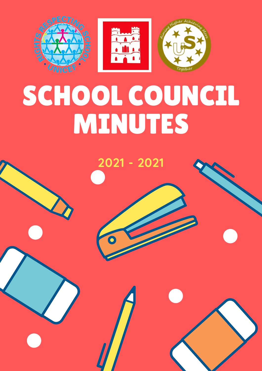

# SCHOOL COUNCIL MINUTES

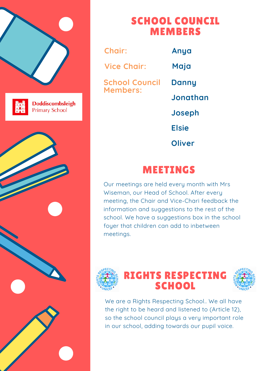



**Doddiscombsleigh Primary School** 



### SCHOOL COUNCIL MEMBERS

**School Council Members: Danny Jonathan Joseph Elsie Oliver Chair: Anya Vice Chair: Maja**

### MEETINGS

Our meetings are held every month with Mrs Wiseman, our Head of School. After every meeting, the Chair and Vice-Chari feedback the information and suggestions to the rest of the school. We have a suggestions box in the school foyer that children can add to inbetween meetings.



### RIGHTS RESPECTING SCHOOL



We are a Rights Respecting School.. We all have the right to be heard and listened to (Article 12), so the school council plays a very important role in our school, adding towards our pupil voice.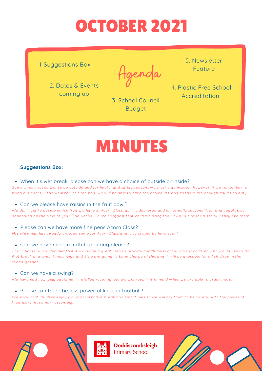# OCTOBER 2021

1. Suggestions Box

2. Dates & Events coming up

enda

3. School Council Budget

5. Newsletter Feature

4. Plastic Free School Accreditation

## MINUTES

#### **Suggestions Box:** 1.

• When it's wet break, please can we have a choice of outside or inside?

Sometimes it is too wet to go outside and for health and safety reasons we must stay inside. However, if we remember to bring our coats, if the weather isn't too bad, we will be able to have the choice, as long as there are enough adults on duty.

#### Can we please have raisins in the fruit bowl?

We don't get to decide which fruit we have in Acorn Class, as it is delivered and is normally seasonal fruit and vegetables, depending on the time of year. The School Council suggest that children bring their own raisins for a snack if they like them.

#### • Please can we have more fine pens Acorn Class?

Mrs Wiseman has already ordered some for Acorn Class and they should be here soon!

#### Can we have more mindful colouring please? -

The School Council decided that it would be a great idea to provide mindfulness colouring for children who would like to do it at break and lunch times. Anya and Elsie are going to be in charge of this and it will be available for all children in the secret garden.

#### Can we have a swing?

We have had new play equipment installed recently, but we will keep this in mind when we are able to order more.

#### • Please can there be less powerful kicks in football?

We know that children enjoy playing football at break and lunchtimes so we will ask them to be careful with the power of their kicks in the next assembly.





**Doddiscombsleigh Primary School**